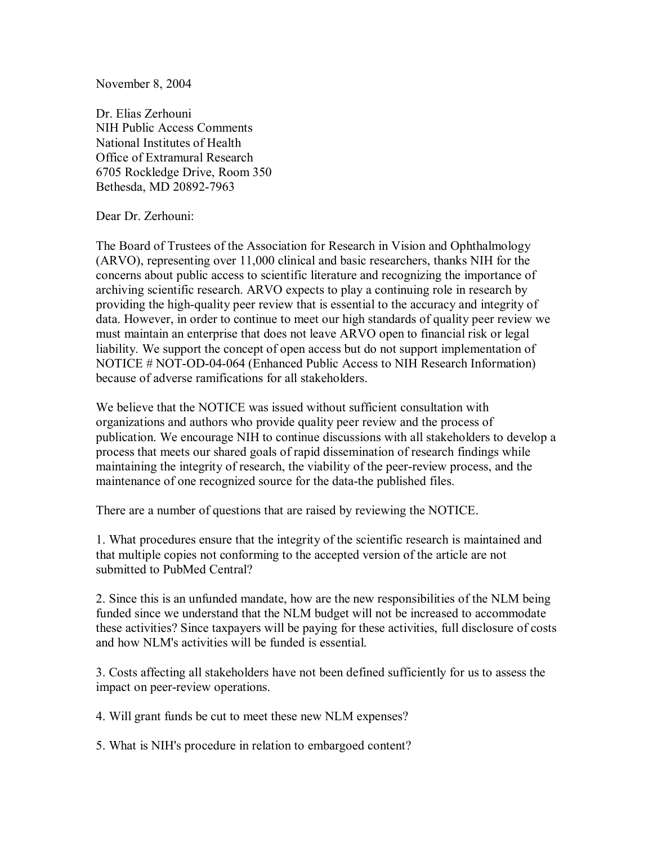November 8, 2004

Dr. Elias Zerhouni NIH Public Access Comments National Institutes of Health Office of Extramural Research 6705 Rockledge Drive, Room 350 Bethesda, MD 20892-7963

Dear Dr. Zerhouni:

The Board of Trustees of the Association for Research in Vision and Ophthalmology (ARVO), representing over 11,000 clinical and basic researchers, thanks NIH for the concerns about public access to scientific literature and recognizing the importance of archiving scientific research. ARVO expects to play a continuing role in research by providing the high-quality peer review that is essential to the accuracy and integrity of data. However, in order to continue to meet our high standards of quality peer review we must maintain an enterprise that does not leave ARVO open to financial risk or legal liability. We support the concept of open access but do not support implementation of NOTICE # NOT-OD-04-064 (Enhanced Public Access to NIH Research Information) because of adverse ramifications for all stakeholders.

We believe that the NOTICE was issued without sufficient consultation with organizations and authors who provide quality peer review and the process of publication. We encourage NIH to continue discussions with all stakeholders to develop a process that meets our shared goals of rapid dissemination of research findings while maintaining the integrity of research, the viability of the peer-review process, and the maintenance of one recognized source for the data-the published files.

There are a number of questions that are raised by reviewing the NOTICE.

1. What procedures ensure that the integrity of the scientific research is maintained and that multiple copies not conforming to the accepted version of the article are not submitted to PubMed Central?

2. Since this is an unfunded mandate, how are the new responsibilities of the NLM being funded since we understand that the NLM budget will not be increased to accommodate these activities? Since taxpayers will be paying for these activities, full disclosure of costs and how NLM's activities will be funded is essential.

3. Costs affecting all stakeholders have not been defined sufficiently for us to assess the impact on peer-review operations.

4. Will grant funds be cut to meet these new NLM expenses?

5. What is NIH's procedure in relation to embargoed content?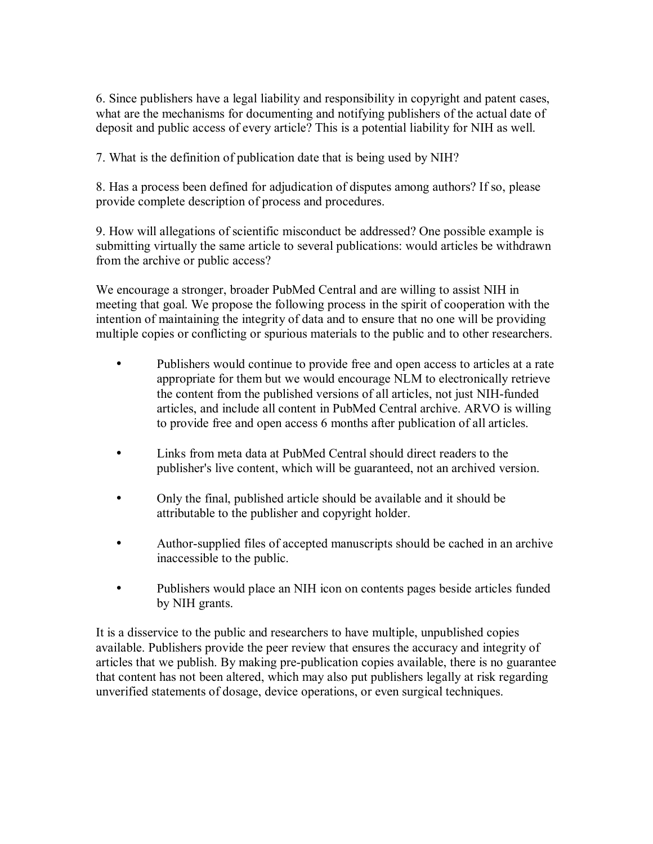6. Since publishers have a legal liability and responsibility in copyright and patent cases, what are the mechanisms for documenting and notifying publishers of the actual date of deposit and public access of every article? This is a potential liability for NIH as well.

7. What is the definition of publication date that is being used by NIH?

8. Has a process been defined for adjudication of disputes among authors? If so, please provide complete description of process and procedures.

9. How will allegations of scientific misconduct be addressed? One possible example is submitting virtually the same article to several publications: would articles be withdrawn from the archive or public access?

We encourage a stronger, broader PubMed Central and are willing to assist NIH in meeting that goal. We propose the following process in the spirit of cooperation with the intention of maintaining the integrity of data and to ensure that no one will be providing multiple copies or conflicting or spurious materials to the public and to other researchers.

- Publishers would continue to provide free and open access to articles at a rate appropriate for them but we would encourage NLM to electronically retrieve the content from the published versions of all articles, not just NIH-funded articles, and include all content in PubMed Central archive. ARVO is willing to provide free and open access 6 months after publication of all articles.
- Links from meta data at PubMed Central should direct readers to the publisher's live content, which will be guaranteed, not an archived version.
- Only the final, published article should be available and it should be attributable to the publisher and copyright holder.
- Author-supplied files of accepted manuscripts should be cached in an archive inaccessible to the public.
- Publishers would place an NIH icon on contents pages beside articles funded by NIH grants.

It is a disservice to the public and researchers to have multiple, unpublished copies available. Publishers provide the peer review that ensures the accuracy and integrity of articles that we publish. By making pre-publication copies available, there is no guarantee that content has not been altered, which may also put publishers legally at risk regarding unverified statements of dosage, device operations, or even surgical techniques.